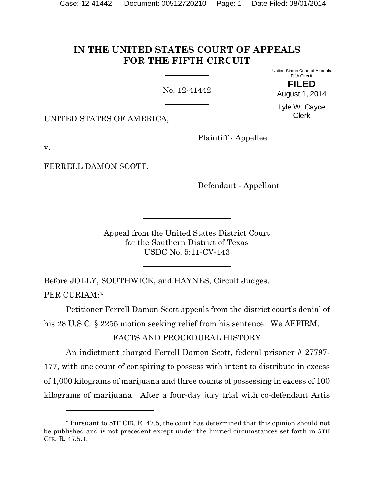# **IN THE UNITED STATES COURT OF APPEALS FOR THE FIFTH CIRCUIT**

No. 12-41442

United States Court of Appeals Fifth Circuit **FILED**

August 1, 2014

Lyle W. Cayce Clerk

UNITED STATES OF AMERICA,

Plaintiff - Appellee

v.

l

FERRELL DAMON SCOTT,

Defendant - Appellant

Appeal from the United States District Court for the Southern District of Texas USDC No. 5:11-CV-143

Before JOLLY, SOUTHWICK, and HAYNES, Circuit Judges. PER CURIAM:[\\*](#page-0-0)

Petitioner Ferrell Damon Scott appeals from the district court's denial of his 28 U.S.C. § 2255 motion seeking relief from his sentence. We AFFIRM.

FACTS AND PROCEDURAL HISTORY

An indictment charged Ferrell Damon Scott, federal prisoner # 27797- 177, with one count of conspiring to possess with intent to distribute in excess of 1,000 kilograms of marijuana and three counts of possessing in excess of 100 kilograms of marijuana. After a four-day jury trial with co-defendant Artis

<span id="page-0-0"></span><sup>\*</sup> Pursuant to 5TH CIR. R. 47.5, the court has determined that this opinion should not be published and is not precedent except under the limited circumstances set forth in 5TH CIR. R. 47.5.4.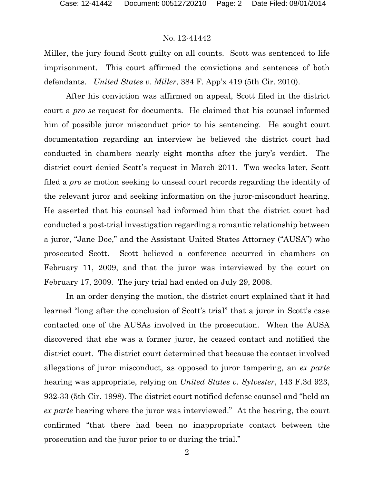Miller, the jury found Scott guilty on all counts. Scott was sentenced to life imprisonment. This court affirmed the convictions and sentences of both defendants. *United States v. Miller*, 384 F. App'x 419 (5th Cir. 2010).

After his conviction was affirmed on appeal, Scott filed in the district court a *pro se* request for documents. He claimed that his counsel informed him of possible juror misconduct prior to his sentencing. He sought court documentation regarding an interview he believed the district court had conducted in chambers nearly eight months after the jury's verdict. The district court denied Scott's request in March 2011. Two weeks later, Scott filed a *pro se* motion seeking to unseal court records regarding the identity of the relevant juror and seeking information on the juror-misconduct hearing. He asserted that his counsel had informed him that the district court had conducted a post-trial investigation regarding a romantic relationship between a juror, "Jane Doe," and the Assistant United States Attorney ("AUSA") who prosecuted Scott. Scott believed a conference occurred in chambers on February 11, 2009, and that the juror was interviewed by the court on February 17, 2009. The jury trial had ended on July 29, 2008.

In an order denying the motion, the district court explained that it had learned "long after the conclusion of Scott's trial" that a juror in Scott's case contacted one of the AUSAs involved in the prosecution. When the AUSA discovered that she was a former juror, he ceased contact and notified the district court. The district court determined that because the contact involved allegations of juror misconduct, as opposed to juror tampering, an *ex parte* hearing was appropriate, relying on *United States v. Sylvester*, 143 F.3d 923, 932-33 (5th Cir. 1998). The district court notified defense counsel and "held an *ex parte* hearing where the juror was interviewed." At the hearing, the court confirmed "that there had been no inappropriate contact between the prosecution and the juror prior to or during the trial."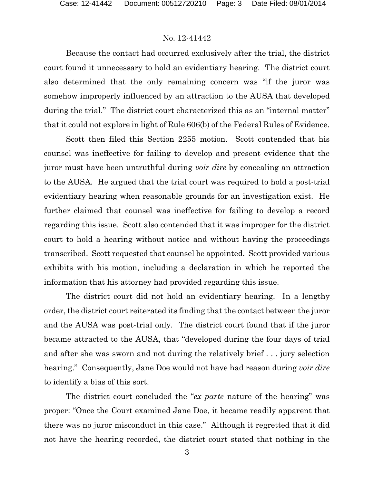Because the contact had occurred exclusively after the trial, the district court found it unnecessary to hold an evidentiary hearing. The district court also determined that the only remaining concern was "if the juror was somehow improperly influenced by an attraction to the AUSA that developed during the trial." The district court characterized this as an "internal matter" that it could not explore in light of Rule 606(b) of the Federal Rules of Evidence.

Scott then filed this Section 2255 motion. Scott contended that his counsel was ineffective for failing to develop and present evidence that the juror must have been untruthful during *voir dire* by concealing an attraction to the AUSA. He argued that the trial court was required to hold a post-trial evidentiary hearing when reasonable grounds for an investigation exist. He further claimed that counsel was ineffective for failing to develop a record regarding this issue. Scott also contended that it was improper for the district court to hold a hearing without notice and without having the proceedings transcribed. Scott requested that counsel be appointed. Scott provided various exhibits with his motion, including a declaration in which he reported the information that his attorney had provided regarding this issue.

The district court did not hold an evidentiary hearing. In a lengthy order, the district court reiterated its finding that the contact between the juror and the AUSA was post-trial only. The district court found that if the juror became attracted to the AUSA, that "developed during the four days of trial and after she was sworn and not during the relatively brief . . . jury selection hearing." Consequently, Jane Doe would not have had reason during *voir dire*  to identify a bias of this sort.

The district court concluded the "*ex parte* nature of the hearing" was proper: "Once the Court examined Jane Doe, it became readily apparent that there was no juror misconduct in this case." Although it regretted that it did not have the hearing recorded, the district court stated that nothing in the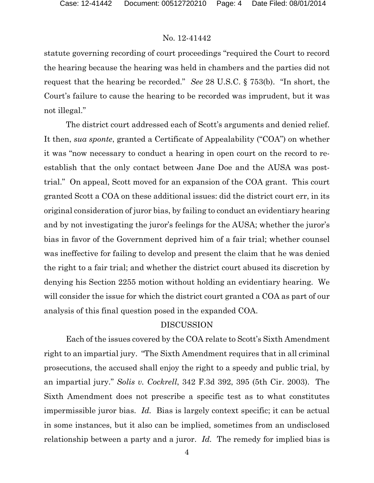statute governing recording of court proceedings "required the Court to record the hearing because the hearing was held in chambers and the parties did not request that the hearing be recorded." *See* 28 U.S.C. § 753(b). "In short, the Court's failure to cause the hearing to be recorded was imprudent, but it was not illegal."

The district court addressed each of Scott's arguments and denied relief. It then, *sua sponte*, granted a Certificate of Appealability ("COA") on whether it was "now necessary to conduct a hearing in open court on the record to reestablish that the only contact between Jane Doe and the AUSA was posttrial." On appeal, Scott moved for an expansion of the COA grant. This court granted Scott a COA on these additional issues: did the district court err, in its original consideration of juror bias, by failing to conduct an evidentiary hearing and by not investigating the juror's feelings for the AUSA; whether the juror's bias in favor of the Government deprived him of a fair trial; whether counsel was ineffective for failing to develop and present the claim that he was denied the right to a fair trial; and whether the district court abused its discretion by denying his Section 2255 motion without holding an evidentiary hearing. We will consider the issue for which the district court granted a COA as part of our analysis of this final question posed in the expanded COA.

### DISCUSSION

Each of the issues covered by the COA relate to Scott's Sixth Amendment right to an impartial jury. "The Sixth Amendment requires that in all criminal prosecutions, the accused shall enjoy the right to a speedy and public trial, by an impartial jury." *Solis v. Cockrell*, 342 F.3d 392, 395 (5th Cir. 2003). The Sixth Amendment does not prescribe a specific test as to what constitutes impermissible juror bias. *Id.* Bias is largely context specific; it can be actual in some instances, but it also can be implied, sometimes from an undisclosed relationship between a party and a juror. *Id.* The remedy for implied bias is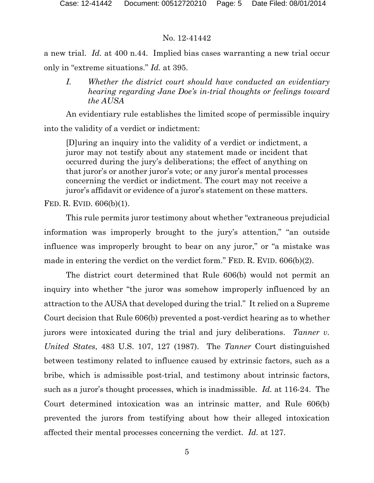a new trial. *Id.* at 400 n.44. Implied bias cases warranting a new trial occur only in "extreme situations." *Id.* at 395.

*I. Whether the district court should have conducted an evidentiary hearing regarding Jane Doe's in-trial thoughts or feelings toward the AUSA*

An evidentiary rule establishes the limited scope of permissible inquiry into the validity of a verdict or indictment:

[D]uring an inquiry into the validity of a verdict or indictment, a juror may not testify about any statement made or incident that occurred during the jury's deliberations; the effect of anything on that juror's or another juror's vote; or any juror's mental processes concerning the verdict or indictment. The court may not receive a juror's affidavit or evidence of a juror's statement on these matters.

FED. R. EVID. 606(b)(1).

This rule permits juror testimony about whether "extraneous prejudicial information was improperly brought to the jury's attention," "an outside influence was improperly brought to bear on any juror," or "a mistake was made in entering the verdict on the verdict form." FED. R. EVID. 606(b)(2).

The district court determined that Rule 606(b) would not permit an inquiry into whether "the juror was somehow improperly influenced by an attraction to the AUSA that developed during the trial." It relied on a Supreme Court decision that Rule 606(b) prevented a post-verdict hearing as to whether jurors were intoxicated during the trial and jury deliberations. *Tanner v. United States*, 483 U.S. 107, 127 (1987). The *Tanner* Court distinguished between testimony related to influence caused by extrinsic factors, such as a bribe, which is admissible post-trial, and testimony about intrinsic factors, such as a juror's thought processes, which is inadmissible. *Id.* at 116-24. The Court determined intoxication was an intrinsic matter, and Rule 606(b) prevented the jurors from testifying about how their alleged intoxication affected their mental processes concerning the verdict. *Id.* at 127.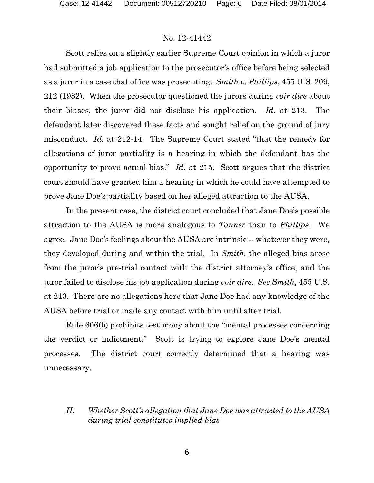Scott relies on a slightly earlier Supreme Court opinion in which a juror had submitted a job application to the prosecutor's office before being selected as a juror in a case that office was prosecuting. *Smith v. Phillips*, 455 U.S. 209, 212 (1982). When the prosecutor questioned the jurors during *voir dire* about their biases, the juror did not disclose his application. *Id.* at 213. The defendant later discovered these facts and sought relief on the ground of jury misconduct. *Id.* at 212-14. The Supreme Court stated "that the remedy for allegations of juror partiality is a hearing in which the defendant has the opportunity to prove actual bias." *Id.* at 215. Scott argues that the district court should have granted him a hearing in which he could have attempted to prove Jane Doe's partiality based on her alleged attraction to the AUSA.

In the present case, the district court concluded that Jane Doe's possible attraction to the AUSA is more analogous to *Tanner* than to *Phillips*. We agree. Jane Doe's feelings about the AUSA are intrinsic -- whatever they were, they developed during and within the trial. In *Smith*, the alleged bias arose from the juror's pre-trial contact with the district attorney's office, and the juror failed to disclose his job application during *voir dire*. *See Smith*, 455 U.S. at 213. There are no allegations here that Jane Doe had any knowledge of the AUSA before trial or made any contact with him until after trial.

Rule 606(b) prohibits testimony about the "mental processes concerning the verdict or indictment." Scott is trying to explore Jane Doe's mental processes. The district court correctly determined that a hearing was unnecessary.

## *II. Whether Scott's allegation that Jane Doe was attracted to the AUSA during trial constitutes implied bias*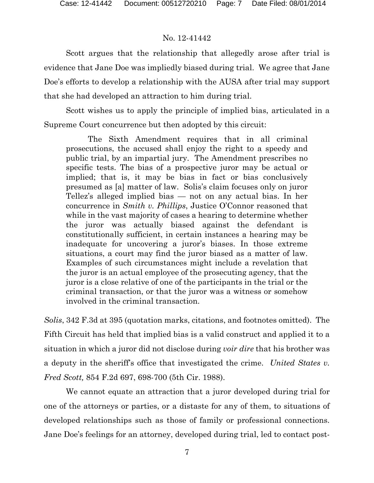Scott argues that the relationship that allegedly arose after trial is evidence that Jane Doe was impliedly biased during trial. We agree that Jane Doe's efforts to develop a relationship with the AUSA after trial may support that she had developed an attraction to him during trial.

Scott wishes us to apply the principle of implied bias, articulated in a Supreme Court concurrence but then adopted by this circuit:

The Sixth Amendment requires that in all criminal prosecutions, the accused shall enjoy the right to a speedy and public trial, by an impartial jury. The Amendment prescribes no specific tests. The bias of a prospective juror may be actual or implied; that is, it may be bias in fact or bias conclusively presumed as [a] matter of law. Solis's claim focuses only on juror Tellez's alleged implied bias — not on any actual bias. In her concurrence in *Smith v. Phillips*, Justice O'Connor reasoned that while in the vast majority of cases a hearing to determine whether the juror was actually biased against the defendant is constitutionally sufficient, in certain instances a hearing may be inadequate for uncovering a juror's biases. In those extreme situations, a court may find the juror biased as a matter of law. Examples of such circumstances might include a revelation that the juror is an actual employee of the prosecuting agency, that the juror is a close relative of one of the participants in the trial or the criminal transaction, or that the juror was a witness or somehow involved in the criminal transaction.

*Solis*, 342 F.3d at 395 (quotation marks, citations, and footnotes omitted). The Fifth Circuit has held that implied bias is a valid construct and applied it to a situation in which a juror did not disclose during *voir dire* that his brother was a deputy in the sheriff's office that investigated the crime. *United States v. Fred Scott,* 854 F.2d 697, 698-700 (5th Cir. 1988).

We cannot equate an attraction that a juror developed during trial for one of the attorneys or parties, or a distaste for any of them, to situations of developed relationships such as those of family or professional connections. Jane Doe's feelings for an attorney, developed during trial, led to contact post-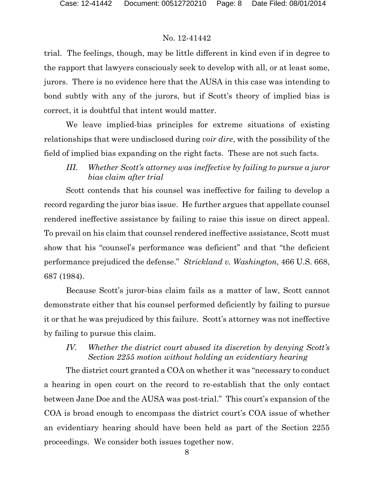trial. The feelings, though, may be little different in kind even if in degree to the rapport that lawyers consciously seek to develop with all, or at least some, jurors. There is no evidence here that the AUSA in this case was intending to bond subtly with any of the jurors, but if Scott's theory of implied bias is correct, it is doubtful that intent would matter.

We leave implied-bias principles for extreme situations of existing relationships that were undisclosed during *voir dire*, with the possibility of the field of implied bias expanding on the right facts. These are not such facts.

*III. Whether Scott's attorney was ineffective by failing to pursue a juror bias claim after trial*

Scott contends that his counsel was ineffective for failing to develop a record regarding the juror bias issue. He further argues that appellate counsel rendered ineffective assistance by failing to raise this issue on direct appeal. To prevail on his claim that counsel rendered ineffective assistance, Scott must show that his "counsel's performance was deficient" and that "the deficient performance prejudiced the defense." *Strickland v. Washington*, 466 U.S. 668, 687 (1984).

Because Scott's juror-bias claim fails as a matter of law, Scott cannot demonstrate either that his counsel performed deficiently by failing to pursue it or that he was prejudiced by this failure. Scott's attorney was not ineffective by failing to pursue this claim.

# *IV. Whether the district court abused its discretion by denying Scott's Section 2255 motion without holding an evidentiary hearing*

The district court granted a COA on whether it was "necessary to conduct a hearing in open court on the record to re-establish that the only contact between Jane Doe and the AUSA was post-trial." This court's expansion of the COA is broad enough to encompass the district court's COA issue of whether an evidentiary hearing should have been held as part of the Section 2255 proceedings. We consider both issues together now.